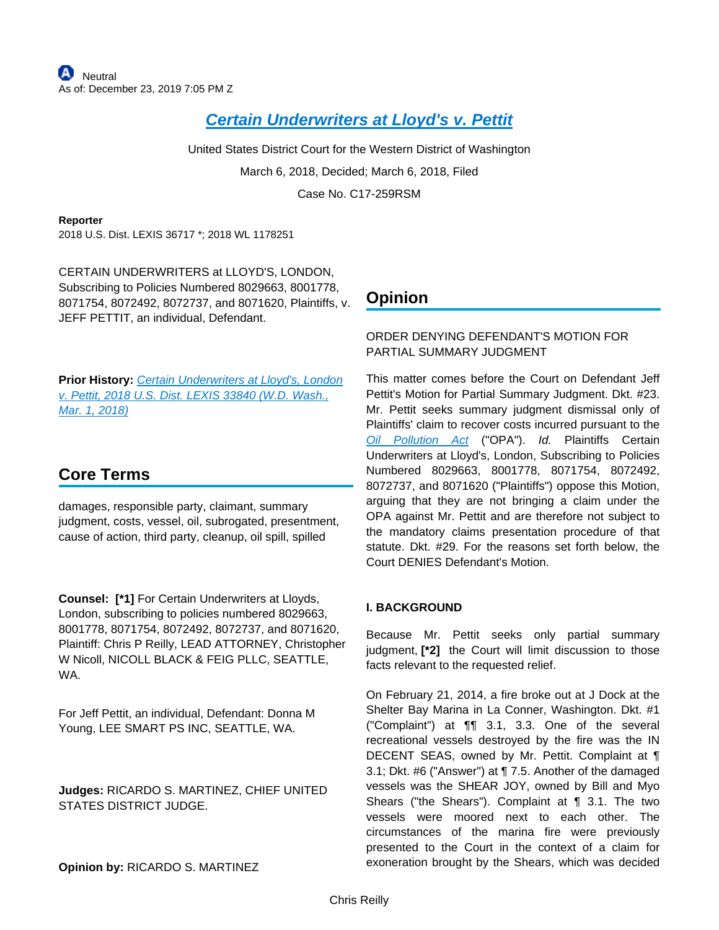# **[Certain Underwriters at Lloyd's v. Pettit](https://advance.lexis.com/api/document?collection=cases&id=urn:contentItem:5RTD-HS91-F2F4-G0NV-00000-00&context=)**

United States District Court for the Western District of Washington March 6, 2018, Decided; March 6, 2018, Filed Case No. C17-259RSM

**Reporter**

2018 U.S. Dist. LEXIS 36717 \*; 2018 WL 1178251

CERTAIN UNDERWRITERS at LLOYD'S, LONDON, Subscribing to Policies Numbered 8029663, 8001778, 8071754, 8072492, 8072737, and 8071620, Plaintiffs, v. JEFF PETTIT, an individual, Defendant.

Prior History: Certain Underwriters at Lloyd's, London [v. Pettit, 2018 U.S. Dist. LEXIS 33840 \(W.D. Wash.,](https://advance.lexis.com/api/document?collection=cases&id=urn:contentItem:5RSB-NVB1-F8SS-616N-00000-00&context=)  [Mar. 1, 2018\)](https://advance.lexis.com/api/document?collection=cases&id=urn:contentItem:5RSB-NVB1-F8SS-616N-00000-00&context=)

# **Core Terms**

damages, responsible party, claimant, summary judgment, costs, vessel, oil, subrogated, presentment, cause of action, third party, cleanup, oil spill, spilled

**Counsel: [\*1]** For Certain Underwriters at Lloyds, London, subscribing to policies numbered 8029663, 8001778, 8071754, 8072492, 8072737, and 8071620, Plaintiff: Chris P Reilly, LEAD ATTORNEY, Christopher W Nicoll, NICOLL BLACK & FEIG PLLC, SEATTLE, WA.

For Jeff Pettit, an individual, Defendant: Donna M Young, LEE SMART PS INC, SEATTLE, WA.

**Judges:** RICARDO S. MARTINEZ, CHIEF UNITED STATES DISTRICT JUDGE.

### **Opinion by:** RICARDO S. MARTINEZ

# **Opinion**

## ORDER DENYING DEFENDANT'S MOTION FOR PARTIAL SUMMARY JUDGMENT

This matter comes before the Court on Defendant Jeff Pettit's Motion for Partial Summary Judgment. Dkt. #23. Mr. Pettit seeks summary judgment dismissal only of Plaintiffs' claim to recover costs incurred pursuant to the [Oil Pollution Act](https://advance.lexis.com/api/document?collection=statutes-legislation&id=urn:contentItem:8TK9-PTV2-D6RV-H3G5-00000-00&context=) ("OPA"). Id. Plaintiffs Certain Underwriters at Lloyd's, London, Subscribing to Policies Numbered 8029663, 8001778, 8071754, 8072492, 8072737, and 8071620 ("Plaintiffs") oppose this Motion, arguing that they are not bringing a claim under the OPA against Mr. Pettit and are therefore not subject to the mandatory claims presentation procedure of that statute. Dkt. #29. For the reasons set forth below, the Court DENIES Defendant's Motion.

# **I. BACKGROUND**

Because Mr. Pettit seeks only partial summary judgment, **[\*2]** the Court will limit discussion to those facts relevant to the requested relief.

On February 21, 2014, a fire broke out at J Dock at the Shelter Bay Marina in La Conner, Washington. Dkt. #1 ("Complaint") at ¶¶ 3.1, 3.3. One of the several recreational vessels destroyed by the fire was the IN DECENT SEAS, owned by Mr. Pettit. Complaint at ¶ 3.1; Dkt. #6 ("Answer") at ¶ 7.5. Another of the damaged vessels was the SHEAR JOY, owned by Bill and Myo Shears ("the Shears"). Complaint at ¶ 3.1. The two vessels were moored next to each other. The circumstances of the marina fire were previously presented to the Court in the context of a claim for exoneration brought by the Shears, which was decided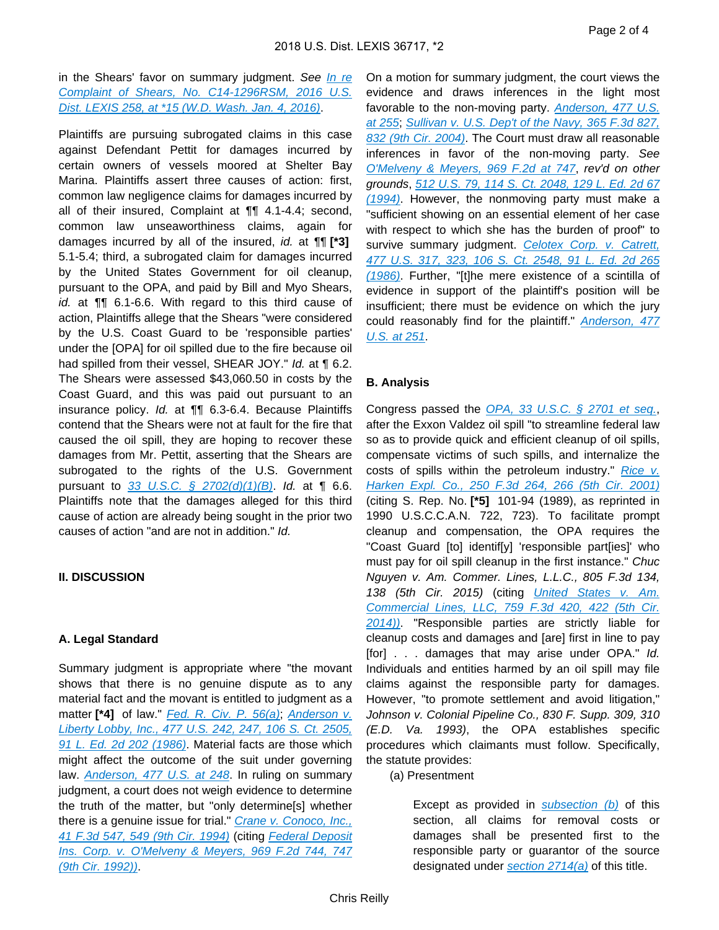in the Shears' favor on summary judgment. See In re [Complaint of Shears, No. C14-1296RSM, 2016 U.S.](https://advance.lexis.com/api/document?collection=cases&id=urn:contentItem:5HSJ-2TB1-F04F-J0JP-00000-00&context=)  [Dist. LEXIS 258, at \\*15 \(W.D. Wash. Jan. 4, 2016\)](https://advance.lexis.com/api/document?collection=cases&id=urn:contentItem:5HSJ-2TB1-F04F-J0JP-00000-00&context=).

Plaintiffs are pursuing subrogated claims in this case against Defendant Pettit for damages incurred by certain owners of vessels moored at Shelter Bay Marina. Plaintiffs assert three causes of action: first, common law negligence claims for damages incurred by all of their insured, Complaint at ¶¶ 4.1-4.4; second, common law unseaworthiness claims, again for damages incurred by all of the insured, id. at ¶¶ **[\*3]**  5.1-5.4; third, a subrogated claim for damages incurred by the United States Government for oil cleanup, pursuant to the OPA, and paid by Bill and Myo Shears, id. at ¶¶ 6.1-6.6. With regard to this third cause of action, Plaintiffs allege that the Shears "were considered by the U.S. Coast Guard to be 'responsible parties' under the [OPA] for oil spilled due to the fire because oil had spilled from their vessel, SHEAR JOY." Id. at ¶ 6.2. The Shears were assessed \$43,060.50 in costs by the Coast Guard, and this was paid out pursuant to an insurance policy. Id. at ¶¶ 6.3-6.4. Because Plaintiffs contend that the Shears were not at fault for the fire that caused the oil spill, they are hoping to recover these damages from Mr. Pettit, asserting that the Shears are subrogated to the rights of the U.S. Government pursuant to [33 U.S.C. § 2702\(d\)\(1\)\(B\)](https://advance.lexis.com/api/document?collection=statutes-legislation&id=urn:contentItem:8SDD-0FN2-D6RV-H44R-00000-00&context=). Id. at  $\P$  6.6. Plaintiffs note that the damages alleged for this third cause of action are already being sought in the prior two causes of action "and are not in addition." Id.

### **II. DISCUSSION**

### **A. Legal Standard**

Summary judgment is appropriate where "the movant shows that there is no genuine dispute as to any material fact and the movant is entitled to judgment as a matter [\*4] of law." [Fed. R. Civ. P. 56\(a\)](https://advance.lexis.com/api/document?collection=statutes-legislation&id=urn:contentItem:5GYC-2421-6N19-F165-00000-00&context=); Anderson v. [Liberty Lobby, Inc., 477 U.S. 242, 247, 106 S. Ct. 2505,](https://advance.lexis.com/api/document?collection=cases&id=urn:contentItem:3S4X-6H80-0039-N37M-00000-00&context=)  [91 L. Ed. 2d 202 \(1986\)](https://advance.lexis.com/api/document?collection=cases&id=urn:contentItem:3S4X-6H80-0039-N37M-00000-00&context=). Material facts are those which might affect the outcome of the suit under governing law. **[Anderson, 477 U.S. at 248](https://advance.lexis.com/api/document?collection=cases&id=urn:contentItem:3S4X-6H80-0039-N37M-00000-00&context=).** In ruling on summary judgment, a court does not weigh evidence to determine the truth of the matter, but "only determine[s] whether there is a genuine issue for trial." [Crane v. Conoco, Inc.,](https://advance.lexis.com/api/document?collection=cases&id=urn:contentItem:3S4X-0NW0-003B-P47N-00000-00&context=)  [41 F.3d 547, 549 \(9th Cir. 1994\)](https://advance.lexis.com/api/document?collection=cases&id=urn:contentItem:3S4X-0NW0-003B-P47N-00000-00&context=) (citing [Federal Deposit](https://advance.lexis.com/api/document?collection=cases&id=urn:contentItem:3S4X-2TW0-008H-V165-00000-00&context=)  Ins. Corp. v. O'Melveny & Meyers, 969 F.2d 744, 747 [\(9th Cir. 1992\)\)](https://advance.lexis.com/api/document?collection=cases&id=urn:contentItem:3S4X-2TW0-008H-V165-00000-00&context=).

On a motion for summary judgment, the court views the evidence and draws inferences in the light most favorable to the non-moving party. Anderson, 477 U.S. [at 255](https://advance.lexis.com/api/document?collection=cases&id=urn:contentItem:3S4X-6H80-0039-N37M-00000-00&context=); [Sullivan v. U.S. Dep't of the Navy, 365 F.3d 827,](https://advance.lexis.com/api/document?collection=cases&id=urn:contentItem:4C77-XD00-0038-X407-00000-00&context=)  [832 \(9th Cir. 2004\)](https://advance.lexis.com/api/document?collection=cases&id=urn:contentItem:4C77-XD00-0038-X407-00000-00&context=). The Court must draw all reasonable inferences in favor of the non-moving party. See [O'Melveny & Meyers, 969 F.2d at 747](https://advance.lexis.com/api/document?collection=cases&id=urn:contentItem:3S4X-2TW0-008H-V165-00000-00&context=), rev'd on other grounds, [512 U.S. 79, 114 S. Ct. 2048, 129 L. Ed. 2d 67](https://advance.lexis.com/api/document?collection=cases&id=urn:contentItem:3S65-JVJ0-003B-R09N-00000-00&context=)  [\(1994\)](https://advance.lexis.com/api/document?collection=cases&id=urn:contentItem:3S65-JVJ0-003B-R09N-00000-00&context=). However, the nonmoving party must make a "sufficient showing on an essential element of her case with respect to which she has the burden of proof" to survive summary judgment. Celotex Corp. v. Catrett, [477 U.S. 317, 323, 106 S. Ct. 2548, 91 L. Ed. 2d 265](https://advance.lexis.com/api/document?collection=cases&id=urn:contentItem:3S4X-6HC0-0039-N37R-00000-00&context=)  [\(1986\)](https://advance.lexis.com/api/document?collection=cases&id=urn:contentItem:3S4X-6HC0-0039-N37R-00000-00&context=). Further, "[t]he mere existence of a scintilla of evidence in support of the plaintiff's position will be insufficient; there must be evidence on which the jury could reasonably find for the plaintiff." Anderson, 477 [U.S. at 251](https://advance.lexis.com/api/document?collection=cases&id=urn:contentItem:3S4X-6H80-0039-N37M-00000-00&context=).

#### **B. Analysis**

Congress passed the [OPA, 33 U.S.C. § 2701 et seq.](https://advance.lexis.com/api/document?collection=statutes-legislation&id=urn:contentItem:8TK9-PTV2-D6RV-H3G5-00000-00&context=), after the Exxon Valdez oil spill "to streamline federal law so as to provide quick and efficient cleanup of oil spills, compensate victims of such spills, and internalize the costs of spills within the petroleum industry." Rice  $v$ . [Harken Expl. Co., 250 F.3d 264, 266 \(5th Cir. 2001\)](https://advance.lexis.com/api/document?collection=cases&id=urn:contentItem:42X4-0VK0-0038-X15F-00000-00&context=) (citing S. Rep. No. **[\*5]** 101-94 (1989), as reprinted in 1990 U.S.C.C.A.N. 722, 723). To facilitate prompt cleanup and compensation, the OPA requires the "Coast Guard [to] identif[y] 'responsible part[ies]' who must pay for oil spill cleanup in the first instance." Chuc Nguyen v. Am. Commer. Lines, L.L.C., 805 F.3d 134, 138 (5th Cir. 2015) (citing *United States v. Am.* [Commercial Lines, LLC, 759 F.3d 420, 422 \(5th Cir.](https://advance.lexis.com/api/document?collection=cases&id=urn:contentItem:5CP1-8MW1-F04K-N1BR-00000-00&context=)  [2014\)\)](https://advance.lexis.com/api/document?collection=cases&id=urn:contentItem:5CP1-8MW1-F04K-N1BR-00000-00&context=). "Responsible parties are strictly liable for cleanup costs and damages and [are] first in line to pay [for] . . . damages that may arise under OPA." Id. Individuals and entities harmed by an oil spill may file claims against the responsible party for damages. However, "to promote settlement and avoid litigation," Johnson v. Colonial Pipeline Co., 830 F. Supp. 309, 310 (E.D. Va. 1993), the OPA establishes specific procedures which claimants must follow. Specifically, the statute provides:

(a) Presentment

Except as provided in *subsection*  $(b)$  of this section, all claims for removal costs or damages shall be presented first to the responsible party or guarantor of the source designated under [section 2714\(a\)](https://advance.lexis.com/api/document?collection=statutes-legislation&id=urn:contentItem:8SDD-0FN2-D6RV-H455-00000-00&context=) of this title.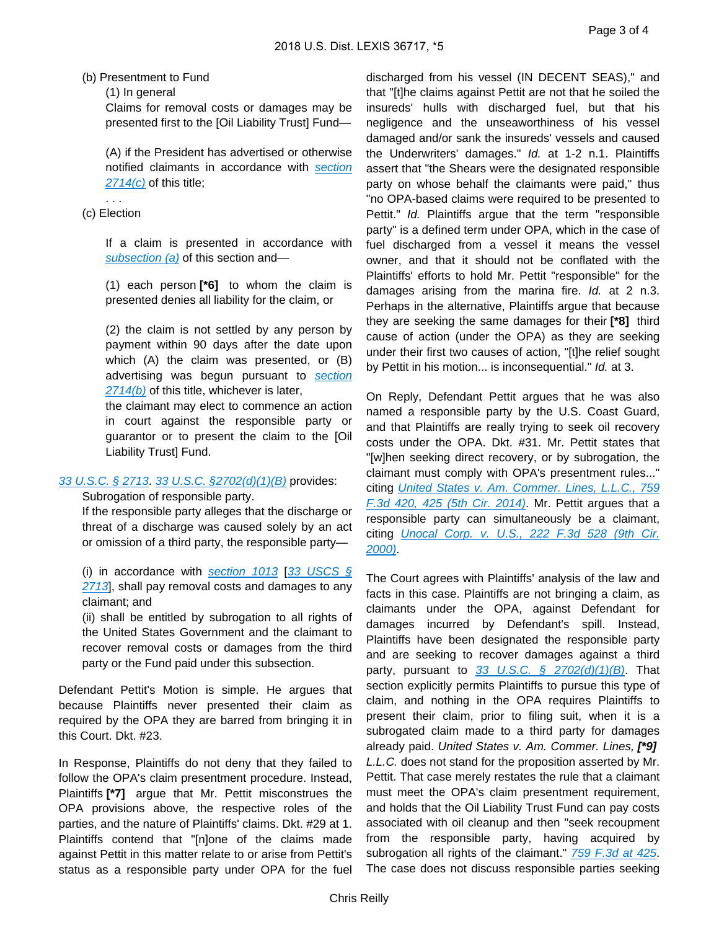#### (b) Presentment to Fund

#### (1) In general

Claims for removal costs or damages may be presented first to the [Oil Liability Trust] Fund—

(A) if the President has advertised or otherwise notified claimants in accordance with [section](https://advance.lexis.com/api/document?collection=statutes-legislation&id=urn:contentItem:8SDD-0FN2-D6RV-H455-00000-00&context=)  [2714\(c\)](https://advance.lexis.com/api/document?collection=statutes-legislation&id=urn:contentItem:8SDD-0FN2-D6RV-H455-00000-00&context=) of this title;

#### . . . (c) Election

If a claim is presented in accordance with subsection  $(a)$  of this section and-

(1) each person **[\*6]** to whom the claim is presented denies all liability for the claim, or

(2) the claim is not settled by any person by payment within 90 days after the date upon which (A) the claim was presented, or (B) advertising was begun pursuant to section  $2714(b)$  of this title, whichever is later,

the claimant may elect to commence an action in court against the responsible party or guarantor or to present the claim to the [Oil Liability Trust] Fund.

### [33 U.S.C. § 2713](https://advance.lexis.com/api/document?collection=statutes-legislation&id=urn:contentItem:8SDD-0FN2-D6RV-H454-00000-00&context=). [33 U.S.C. §2702\(d\)\(1\)\(B\)](https://advance.lexis.com/api/document?collection=statutes-legislation&id=urn:contentItem:8SDD-0FN2-D6RV-H44R-00000-00&context=) provides:

### Subrogation of responsible party.

If the responsible party alleges that the discharge or threat of a discharge was caused solely by an act or omission of a third party, the responsible party—

(i) in accordance with [section 1013](https://advance.lexis.com/api/document?collection=statutes-legislation&id=urn:contentItem:8SDD-0FN2-D6RV-H39M-00000-00&context=) [33 USCS  $\S$ [2713](https://advance.lexis.com/api/document?collection=statutes-legislation&id=urn:contentItem:8SDD-0FN2-D6RV-H454-00000-00&context=)], shall pay removal costs and damages to any claimant; and

(ii) shall be entitled by subrogation to all rights of the United States Government and the claimant to recover removal costs or damages from the third party or the Fund paid under this subsection.

Defendant Pettit's Motion is simple. He argues that because Plaintiffs never presented their claim as required by the OPA they are barred from bringing it in this Court. Dkt. #23.

In Response, Plaintiffs do not deny that they failed to follow the OPA's claim presentment procedure. Instead, Plaintiffs **[\*7]** argue that Mr. Pettit misconstrues the OPA provisions above, the respective roles of the parties, and the nature of Plaintiffs' claims. Dkt. #29 at 1. Plaintiffs contend that "[n]one of the claims made against Pettit in this matter relate to or arise from Pettit's status as a responsible party under OPA for the fuel discharged from his vessel (IN DECENT SEAS)," and that "[t]he claims against Pettit are not that he soiled the insureds' hulls with discharged fuel, but that his negligence and the unseaworthiness of his vessel damaged and/or sank the insureds' vessels and caused the Underwriters' damages." Id. at 1-2 n.1. Plaintiffs assert that "the Shears were the designated responsible party on whose behalf the claimants were paid," thus "no OPA-based claims were required to be presented to Pettit." Id. Plaintiffs argue that the term "responsible party" is a defined term under OPA, which in the case of fuel discharged from a vessel it means the vessel owner, and that it should not be conflated with the Plaintiffs' efforts to hold Mr. Pettit "responsible" for the damages arising from the marina fire. Id. at 2 n.3. Perhaps in the alternative, Plaintiffs argue that because they are seeking the same damages for their **[\*8]** third cause of action (under the OPA) as they are seeking under their first two causes of action, "[t]he relief sought by Pettit in his motion... is inconsequential." Id. at 3.

On Reply, Defendant Pettit argues that he was also named a responsible party by the U.S. Coast Guard, and that Plaintiffs are really trying to seek oil recovery costs under the OPA. Dkt. #31. Mr. Pettit states that "[w]hen seeking direct recovery, or by subrogation, the claimant must comply with OPA's presentment rules..." citing United States v. Am. Commer. Lines, L.L.C., 759 [F.3d 420, 425 \(5th Cir. 2014\)](https://advance.lexis.com/api/document?collection=cases&id=urn:contentItem:5CP1-8MW1-F04K-N1BR-00000-00&context=). Mr. Pettit argues that a responsible party can simultaneously be a claimant, citing *Unocal Corp. v. U.S., 222 F.3d 528 (9th Cir.* [2000\)](https://advance.lexis.com/api/document?collection=cases&id=urn:contentItem:40X8-GHN0-0038-X0VC-00000-00&context=).

The Court agrees with Plaintiffs' analysis of the law and facts in this case. Plaintiffs are not bringing a claim, as claimants under the OPA, against Defendant for damages incurred by Defendant's spill. Instead, Plaintiffs have been designated the responsible party and are seeking to recover damages against a third party, pursuant to  $\frac{33}{100}$  U.S.C. § 2702(d)(1)(B). That section explicitly permits Plaintiffs to pursue this type of claim, and nothing in the OPA requires Plaintiffs to present their claim, prior to filing suit, when it is a subrogated claim made to a third party for damages already paid. United States v. Am. Commer. Lines, **[\*9]**  L.L.C. does not stand for the proposition asserted by Mr. Pettit. That case merely restates the rule that a claimant must meet the OPA's claim presentment requirement, and holds that the Oil Liability Trust Fund can pay costs associated with oil cleanup and then "seek recoupment from the responsible party, having acquired by subrogation all rights of the claimant." [759 F.3d at 425](https://advance.lexis.com/api/document?collection=cases&id=urn:contentItem:5CP1-8MW1-F04K-N1BR-00000-00&context=). The case does not discuss responsible parties seeking